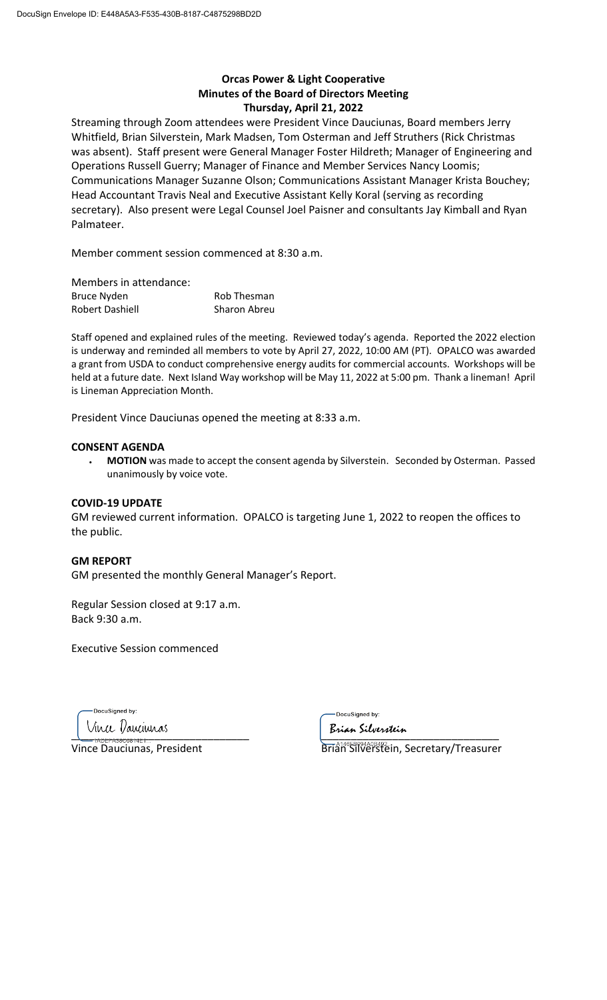# **Orcas Power & Light Cooperative Minutes of the Board of Directors Meeting Thursday, April 21, 2022**

Streaming through Zoom attendees were President Vince Dauciunas, Board members Jerry Whitfield, Brian Silverstein, Mark Madsen, Tom Osterman and Jeff Struthers (Rick Christmas was absent). Staff present were General Manager Foster Hildreth; Manager of Engineering and Operations Russell Guerry; Manager of Finance and Member Services Nancy Loomis; Communications Manager Suzanne Olson; Communications Assistant Manager Krista Bouchey; Head Accountant Travis Neal and Executive Assistant Kelly Koral (serving as recording secretary). Also present were Legal Counsel Joel Paisner and consultants Jay Kimball and Ryan Palmateer.

Member comment session commenced at 8:30 a.m.

| Members in attendance: |                    |
|------------------------|--------------------|
| <b>Bruce Nyden</b>     | <b>Rob Thesman</b> |
| Robert Dashiell        | Sharon Abreu       |

Staff opened and explained rules of the meeting. Reviewed today's agenda. Reported the 2022 election is underway and reminded all members to vote by April 27, 2022, 10:00 AM (PT). OPALCO was awarded a grant from USDA to conduct comprehensive energy audits for commercial accounts. Workshops will be held at a future date. Next Island Way workshop will be May 11, 2022 at 5:00 pm. Thank a lineman! April is Lineman Appreciation Month.

President Vince Dauciunas opened the meeting at 8:33 a.m.

#### **CONSENT AGENDA**

• **MOTION** was made to accept the consent agenda by Silverstein. Seconded by Osterman. Passed unanimously by voice vote.

### **COVID-19 UPDATE**

GM reviewed current information. OPALCO is targeting June 1, 2022 to reopen the offices to the public.

### **GM REPORT**

GM presented the monthly General Manager's Report.

Regular Session closed at 9:17 a.m. Back 9:30 a.m.

Executive Session commenced

DocuSigned by:

 $\overline{\phantom{a}}$ 

DocuSigned by:

Vince Dauciunas, President **Brigger Brian Silverstein, Secretary/Treasurer**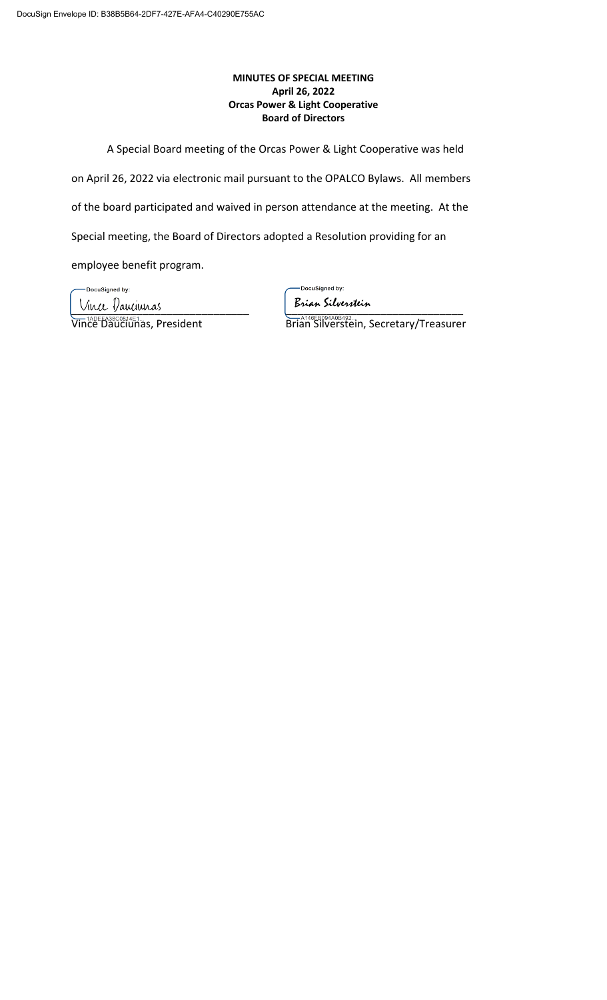# **MINUTES OF SPECIAL MEETING April 26, 2022 Orcas Power & Light Cooperative Board of Directors**

A Special Board meeting of the Orcas Power & Light Cooperative was held

on April 26, 2022 via electronic mail pursuant to the OPALCO Bylaws. All members

of the board participated and waived in person attendance at the meeting. At the

Special meeting, the Board of Directors adopted a Resolution providing for an

employee benefit program.

-DocuSigned by:

-DocuSigned by:

<u>Muce Dauciuras</u><br>Vin<sup>20E</sup>b<sup>38C0814E1</sup>as, President Brian Silverstein, S

Vince Dauciunas, President Brian Silverstein, Secretary/Treasurer